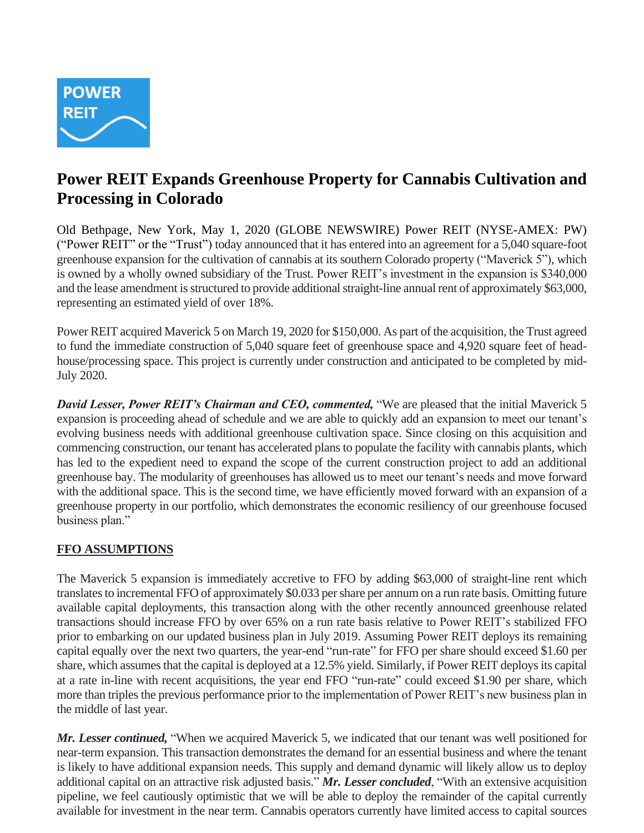

# **Power REIT Expands Greenhouse Property for Cannabis Cultivation and Processing in Colorado**

Old Bethpage, New York, May 1, 2020 (GLOBE NEWSWIRE) Power REIT (NYSE-AMEX: PW) ("Power REIT" or the "Trust") today announced that it has entered into an agreement for a 5,040 square-foot greenhouse expansion for the cultivation of cannabis at its southern Colorado property ("Maverick 5"), which is owned by a wholly owned subsidiary of the Trust. Power REIT's investment in the expansion is \$340,000 and the lease amendment is structured to provide additional straight-line annual rent of approximately \$63,000, representing an estimated yield of over 18%.

Power REIT acquired Maverick 5 on March 19, 2020 for \$150,000. As part of the acquisition, the Trust agreed to fund the immediate construction of 5,040 square feet of greenhouse space and 4,920 square feet of headhouse/processing space. This project is currently under construction and anticipated to be completed by mid-July 2020.

*David Lesser, Power REIT's Chairman and CEO, commented,* "We are pleased that the initial Maverick 5 expansion is proceeding ahead of schedule and we are able to quickly add an expansion to meet our tenant's evolving business needs with additional greenhouse cultivation space. Since closing on this acquisition and commencing construction, our tenant has accelerated plans to populate the facility with cannabis plants, which has led to the expedient need to expand the scope of the current construction project to add an additional greenhouse bay. The modularity of greenhouses has allowed us to meet our tenant's needs and move forward with the additional space. This is the second time, we have efficiently moved forward with an expansion of a greenhouse property in our portfolio, which demonstrates the economic resiliency of our greenhouse focused business plan."

# **FFO ASSUMPTIONS**

The Maverick 5 expansion is immediately accretive to FFO by adding \$63,000 of straight-line rent which translates to incremental FFO of approximately \$0.033 per share per annum on a run rate basis. Omitting future available capital deployments, this transaction along with the other recently announced greenhouse related transactions should increase FFO by over 65% on a run rate basis relative to Power REIT's stabilized FFO prior to embarking on our updated business plan in July 2019. Assuming Power REIT deploys its remaining capital equally over the next two quarters, the year-end "run-rate" for FFO per share should exceed \$1.60 per share, which assumes that the capital is deployed at a 12.5% yield. Similarly, if Power REIT deploys its capital at a rate in-line with recent acquisitions, the year end FFO "run-rate" could exceed \$1.90 per share, which more than triples the previous performance prior to the implementation of Power REIT's new business plan in the middle of last year.

*Mr. Lesser continued,* "When we acquired Maverick 5, we indicated that our tenant was well positioned for near-term expansion. This transaction demonstrates the demand for an essential business and where the tenant is likely to have additional expansion needs. This supply and demand dynamic will likely allow us to deploy additional capital on an attractive risk adjusted basis." *Mr. Lesser concluded*, "With an extensive acquisition pipeline, we feel cautiously optimistic that we will be able to deploy the remainder of the capital currently available for investment in the near term. Cannabis operators currently have limited access to capital sources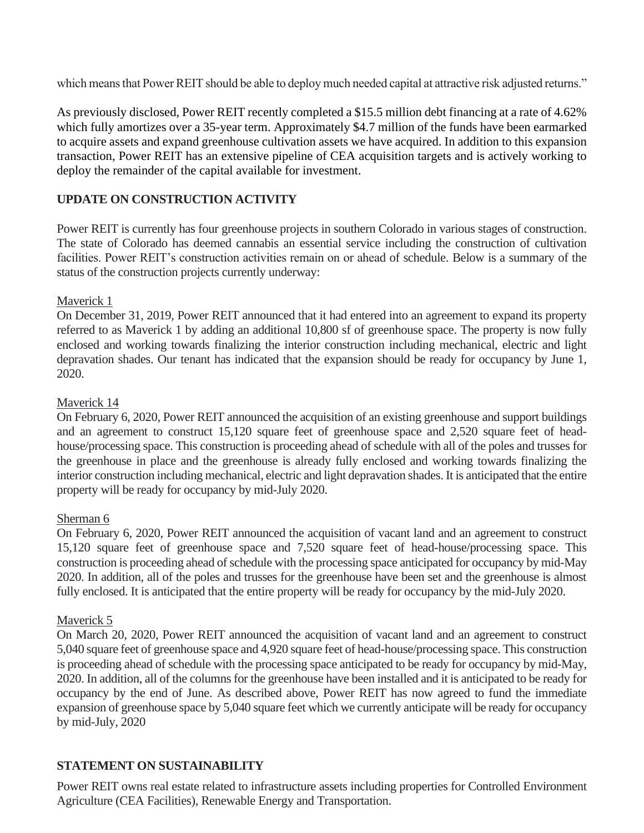which means that Power REIT should be able to deploy much needed capital at attractive risk adjusted returns."

As previously disclosed, Power REIT recently completed a \$15.5 million debt financing at a rate of 4.62% which fully amortizes over a 35-year term. Approximately \$4.7 million of the funds have been earmarked to acquire assets and expand greenhouse cultivation assets we have acquired. In addition to this expansion transaction, Power REIT has an extensive pipeline of CEA acquisition targets and is actively working to deploy the remainder of the capital available for investment.

## **UPDATE ON CONSTRUCTION ACTIVITY**

Power REIT is currently has four greenhouse projects in southern Colorado in various stages of construction. The state of Colorado has deemed cannabis an essential service including the construction of cultivation facilities. Power REIT's construction activities remain on or ahead of schedule. Below is a summary of the status of the construction projects currently underway:

#### Maverick 1

On December 31, 2019, Power REIT announced that it had entered into an agreement to expand its property referred to as Maverick 1 by adding an additional 10,800 sf of greenhouse space. The property is now fully enclosed and working towards finalizing the interior construction including mechanical, electric and light depravation shades. Our tenant has indicated that the expansion should be ready for occupancy by June 1, 2020.

#### Maverick 14

On February 6, 2020, Power REIT announced the acquisition of an existing greenhouse and support buildings and an agreement to construct 15,120 square feet of greenhouse space and 2,520 square feet of headhouse/processing space. This construction is proceeding ahead of schedule with all of the poles and trusses for the greenhouse in place and the greenhouse is already fully enclosed and working towards finalizing the interior construction including mechanical, electric and light depravation shades. It is anticipated that the entire property will be ready for occupancy by mid-July 2020.

#### Sherman 6

On February 6, 2020, Power REIT announced the acquisition of vacant land and an agreement to construct 15,120 square feet of greenhouse space and 7,520 square feet of head-house/processing space. This construction is proceeding ahead of schedule with the processing space anticipated for occupancy by mid-May 2020. In addition, all of the poles and trusses for the greenhouse have been set and the greenhouse is almost fully enclosed. It is anticipated that the entire property will be ready for occupancy by the mid-July 2020.

#### Maverick 5

On March 20, 2020, Power REIT announced the acquisition of vacant land and an agreement to construct 5,040 square feet of greenhouse space and 4,920 square feet of head-house/processing space. This construction is proceeding ahead of schedule with the processing space anticipated to be ready for occupancy by mid-May, 2020. In addition, all of the columns for the greenhouse have been installed and it is anticipated to be ready for occupancy by the end of June. As described above, Power REIT has now agreed to fund the immediate expansion of greenhouse space by 5,040 square feet which we currently anticipate will be ready for occupancy by mid-July, 2020

## **STATEMENT ON SUSTAINABILITY**

Power REIT owns real estate related to infrastructure assets including properties for Controlled Environment Agriculture (CEA Facilities), Renewable Energy and Transportation.